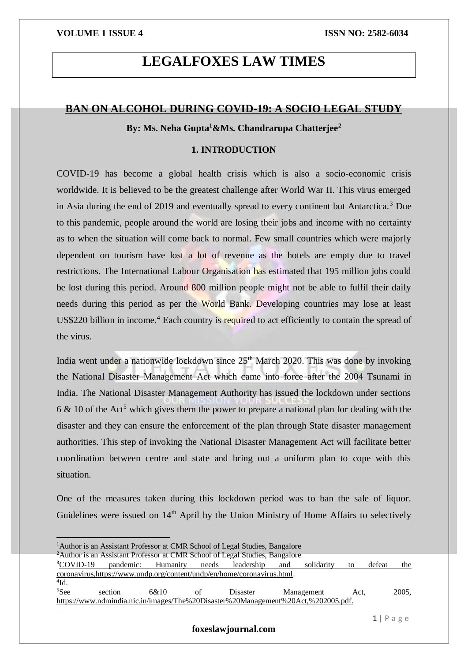# **LEGALFOXES LAW TIMES**

## **BAN ON ALCOHOL DURING COVID-19: A SOCIO LEGAL STUDY**

**By: Ms. Neha Gupta<sup>1</sup>&Ms. Chandrarupa Chatterjee<sup>2</sup>**

## **1. INTRODUCTION**

COVID-19 has become a global health crisis which is also a socio-economic crisis worldwide. It is believed to be the greatest challenge after World War II. This virus emerged in Asia during the end of 2019 and eventually spread to every continent but Antarctica.<sup>3</sup> Due to this pandemic, people around the world are losing their jobs and income with no certainty as to when the situation will come back to normal. Few small countries which were majorly dependent on tourism have lost a lot of revenue as the hotels are empty due to travel restrictions. The International Labour Organisation has estimated that 195 million jobs could be lost during this period. Around 800 million people might not be able to fulfil their daily needs during this period as per the World Bank. Developing countries may lose at least US\$220 billion in income.<sup>4</sup> Each country is required to act efficiently to contain the spread of the virus.

India went under a nationwide lockdown since  $25<sup>th</sup>$  March 2020. This was done by invoking the National Disaster Management Act which came into force after the 2004 Tsunami in India. The National Disaster Management Authority has issued the lockdown under sections 6  $\&$  10 of the Act<sup>5</sup> which gives them the power to prepare a national plan for dealing with the disaster and they can ensure the enforcement of the plan through State disaster management authorities. This step of invoking the National Disaster Management Act will facilitate better coordination between centre and state and bring out a uniform plan to cope with this situation.

One of the measures taken during this lockdown period was to ban the sale of liquor. Guidelines were issued on 14<sup>th</sup> April by the Union Ministry of Home Affairs to selectively

<sup>2</sup>Author is an Assistant Professor at CMR School of Legal Studies, Bangalore

<u>.</u>

| ${}^3$ COVID-19 | pandemic:                                                                         | Humanity | needs | leadership | and        | solidarity | to   | defeat | the   |
|-----------------|-----------------------------------------------------------------------------------|----------|-------|------------|------------|------------|------|--------|-------|
|                 | coronavirus.https://www.undp.org/content/undp/en/home/coronavirus.html.           |          |       |            |            |            |      |        |       |
| $^{4}$ Id.      |                                                                                   |          |       |            |            |            |      |        |       |
| ${}^{5}$ See    | section                                                                           | 6&10     | of    | Disaster   | Management |            | Act. |        | 2005, |
|                 | https://www.ndmindia.nic.in/images/The%20Disaster%20Management%20Act,%202005.pdf. |          |       |            |            |            |      |        |       |

<sup>&</sup>lt;sup>1</sup>Author is an Assistant Professor at CMR School of Legal Studies, Bangalore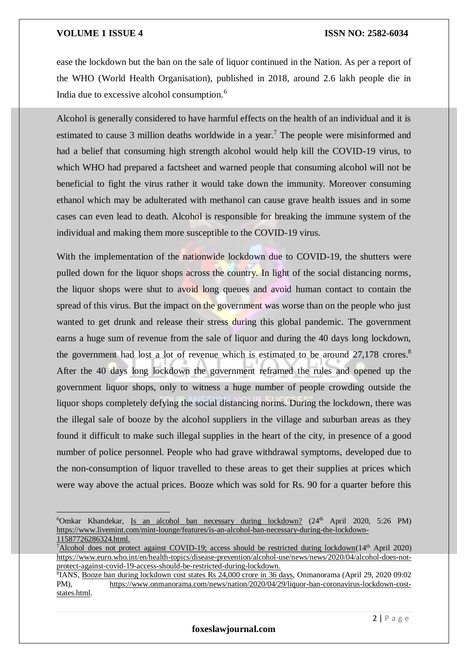$\overline{a}$ 

ease the lockdown but the ban on the sale of liquor continued in the Nation. As per a report of the WHO (World Health Organisation), published in 2018, around 2.6 lakh people die in India due to excessive alcohol consumption.<sup>6</sup>

Alcohol is generally considered to have harmful effects on the health of an individual and it is estimated to cause 3 million deaths worldwide in a year.<sup>7</sup> The people were misinformed and had a belief that consuming high strength alcohol would help kill the COVID-19 virus, to which WHO had prepared a factsheet and warned people that consuming alcohol will not be beneficial to fight the virus rather it would take down the immunity. Moreover consuming ethanol which may be adulterated with methanol can cause grave health issues and in some cases can even lead to death. Alcohol is responsible for breaking the immune system of the individual and making them more susceptible to the COVID-19 virus.

With the implementation of the nationwide lockdown due to COVID-19, the shutters were pulled down for the liquor shops across the country. In light of the social distancing norms, the liquor shops were shut to avoid long queues and avoid human contact to contain the spread of this virus. But the impact on the government was worse than on the people who just wanted to get drunk and release their stress during this global pandemic. The government earns a huge sum of revenue from the sale of liquor and during the 40 days long lockdown, the government had lost a lot of revenue which is estimated to be around 27,178 crores.<sup>8</sup> After the 40 days long lockdown the government reframed the rules and opened up the government liquor shops, only to witness a huge number of people crowding outside the liquor shops completely defying the social distancing norms. During the lockdown, there was the illegal sale of booze by the alcohol suppliers in the village and suburban areas as they found it difficult to make such illegal supplies in the heart of the city, in presence of a good number of police personnel. People who had grave withdrawal symptoms, developed due to the non-consumption of liquor travelled to these areas to get their supplies at prices which were way above the actual prices. Booze which was sold for Rs. 90 for a quarter before this

 $6$ Omkar Khandekar, Is an alcohol ban necessary during lockdown? (24<sup>th</sup> April 2020, 5:26 PM) [https://www.livemint.com/mint-lounge/features/is-an-alcohol-ban-necessary-during-the-lockdown-](https://www.livemint.com/mint-lounge/features/is-an-alcohol-ban-necessary-during-the-lockdown-11587726286324.html)[11587726286324.html.](https://www.livemint.com/mint-lounge/features/is-an-alcohol-ban-necessary-during-the-lockdown-11587726286324.html)

<sup>&</sup>lt;sup>7</sup>Alcohol does not protect against COVID-19; access should be restricted during lockdown( $14<sup>th</sup>$  April 2020) [https://www.euro.who.int/en/health-topics/disease-prevention/alcohol-use/news/news/2020/04/alcohol-does-not](https://www.euro.who.int/en/health-topics/disease-prevention/alcohol-use/news/news/2020/04/alcohol-does-not-protect-against-covid-19-access-should-be-restricted-during-lockdown)[protect-against-covid-19-access-should-be-restricted-during-lockdown.](https://www.euro.who.int/en/health-topics/disease-prevention/alcohol-use/news/news/2020/04/alcohol-does-not-protect-against-covid-19-access-should-be-restricted-during-lockdown)

<sup>&</sup>lt;sup>8</sup>IANS, Booze ban during lockdown cost states Rs 24,000 crore in 36 days, Onmanorama (April 29, 2020 09:02 PM), [https://www.onmanorama.com/news/nation/2020/04/29/liquor-ban-coronavirus-lockdown-cost](https://www.onmanorama.com/news/nation/2020/04/29/liquor-ban-coronavirus-lockdown-cost-states.html)[states.html.](https://www.onmanorama.com/news/nation/2020/04/29/liquor-ban-coronavirus-lockdown-cost-states.html)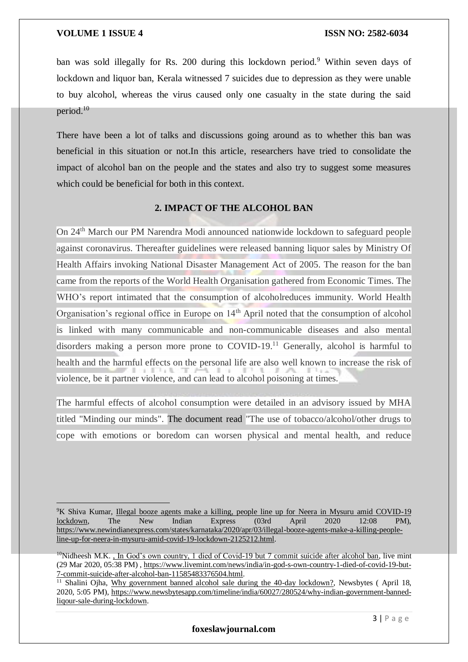<u>.</u>

ban was sold illegally for Rs. 200 during this lockdown period.<sup>9</sup> Within seven days of lockdown and liquor ban, Kerala witnessed 7 suicides due to depression as they were unable to buy alcohol, whereas the virus caused only one casualty in the state during the said period.<sup>10</sup>

There have been a lot of talks and discussions going around as to whether this ban was beneficial in this situation or not.In this article, researchers have tried to consolidate the impact of alcohol ban on the people and the states and also try to suggest some measures which could be beneficial for both in this context.

## **2. IMPACT OF THE ALCOHOL BAN**

On 24th March our PM Narendra Modi announced nationwide lockdown to safeguard people against coronavirus. Thereafter guidelines were released banning liquor sales by Ministry Of Health Affairs invoking National Disaster Management Act of 2005. The reason for the ban came from the reports of the World Health Organisation gathered from Economic Times. The WHO's report intimated that the consumption of alcoholreduces immunity. World Health Organisation's regional office in Europe on 14<sup>th</sup> April noted that the consumption of alcohol is linked with many communicable and non-communicable diseases and also mental disorders making a person more prone to COVID-19.<sup>11</sup> Generally, alcohol is harmful to health and the harmful effects on the personal life are also well known to increase the risk of violence, be it partner violence, and can lead to alcohol poisoning at times.

The harmful effects of alcohol consumption were detailed in an advisory issued by MHA titled "Minding our minds". The document read "The use of tobacco/alcohol/other drugs to cope with emotions or boredom can worsen physical and mental health, and reduce

<sup>9</sup>K Shiva Kumar, Illegal booze agents make a killing, people line up for Neera in Mysuru amid COVID-19 lockdown, The New Indian Express (03rd April 2020 12:08 PM), [https://www.newindianexpress.com/states/karnataka/2020/apr/03/illegal-booze-agents-make-a-killing-people](https://www.newindianexpress.com/states/karnataka/2020/apr/03/illegal-booze-agents-make-a-killing-people-line-up-for-neera-in-mysuru-amid-covid-19-lockdown-2125212.html)[line-up-for-neera-in-mysuru-amid-covid-19-lockdown-2125212.html.](https://www.newindianexpress.com/states/karnataka/2020/apr/03/illegal-booze-agents-make-a-killing-people-line-up-for-neera-in-mysuru-amid-covid-19-lockdown-2125212.html)

<sup>&</sup>lt;sup>10</sup>Nidheesh M.K., In God's own country, 1 died of Covid-19 but 7 commit suicide after alcohol ban, live mint (29 Mar 2020, 05:38 PM) , [https://www.livemint.com/news/india/in-god-s-own-country-1-died-of-covid-19-but-](https://www.livemint.com/news/india/in-god-s-own-country-1-died-of-covid-19-but-7-commit-suicide-after-alcohol-ban-11585483376504.html)[7-commit-suicide-after-alcohol-ban-11585483376504.html.](https://www.livemint.com/news/india/in-god-s-own-country-1-died-of-covid-19-but-7-commit-suicide-after-alcohol-ban-11585483376504.html)

<sup>&</sup>lt;sup>11</sup> Shalini Ojha, Why government banned alcohol sale during the 40-day lockdown?, Newsbytes (April 18, 2020, 5:05 PM), [https://www.newsbytesapp.com/timeline/india/60027/280524/why-indian-government-banned](https://www.newsbytesapp.com/timeline/india/60027/280524/why-indian-government-banned-liqour-sale-during-lockdown)[liqour-sale-during-lockdown.](https://www.newsbytesapp.com/timeline/india/60027/280524/why-indian-government-banned-liqour-sale-during-lockdown)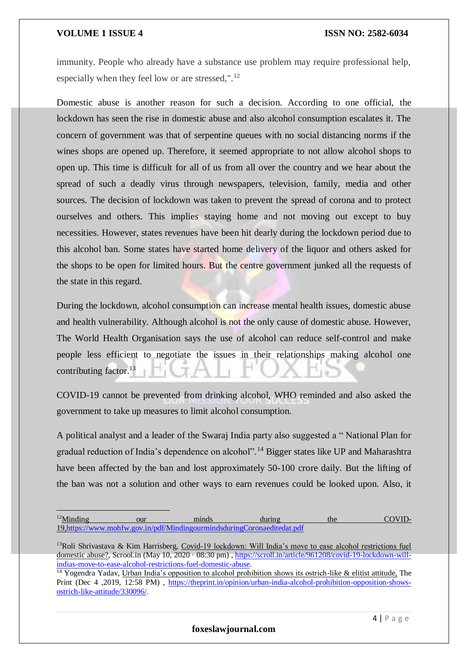<u>.</u>

immunity. People who already have a substance use problem may require professional help, especially when they feel low or are stressed,". $^{12}$ 

Domestic abuse is another reason for such a decision. According to one official, the lockdown has seen the rise in domestic abuse and also alcohol consumption escalates it. The concern of government was that of serpentine queues with no social distancing norms if the wines shops are opened up. Therefore, it seemed appropriate to not allow alcohol shops to open up. This time is difficult for all of us from all over the country and we hear about the spread of such a deadly virus through newspapers, television, family, media and other sources. The decision of lockdown was taken to prevent the spread of corona and to protect ourselves and others. This implies staying home and not moving out except to buy necessities. However, states revenues have been hit dearly during the lockdown period due to this alcohol ban. Some states have started home delivery of the liquor and others asked for the shops to be open for limited hours. But the centre government junked all the requests of the state in this regard.

During the lockdown, alcohol consumption can increase mental health issues, domestic abuse and health vulnerability. Although alcohol is not the only cause of domestic abuse. However, The World Health Organisation says the use of alcohol can reduce self-control and make people less efficient to negotiate the issues in their relationships making alcohol one contributing factor.<sup>13</sup>

COVID-19 cannot be prevented from drinking alcohol, WHO reminded and also asked the government to take up measures to limit alcohol consumption.

A political analyst and a leader of the Swaraj India party also suggested a " National Plan for gradual reduction of India's dependence on alcohol".<sup>14</sup> Bigger states like UP and Maharashtra have been affected by the ban and lost approximately 50-100 crore daily. But the lifting of the ban was not a solution and other ways to earn revenues could be looked upon. Also, it

<sup>&</sup>lt;sup>12</sup>Minding our minds during the COVID-1[9,https://www.mohfw.gov.in/pdf/MindingourmindsduringCoronaeditedat.pdf](https://www.mohfw.gov.in/pdf/MindingourmindsduringCoronaeditedat.pdf)

<sup>&</sup>lt;sup>13</sup>Roli Shrivastava & Kim Harrisberg, Covid-19 lockdown: Will India's move to ease alcohol restrictions fuel domestic abuse?, Scrool.in (May 10, 2020 · 08:30 pm), [https://scroll.in/article/961208/covid-19-lockdown-will](https://scroll.in/article/961208/covid-19-lockdown-will-indias-move-to-ease-alcohol-restrictions-fuel-domestic-abuse)[indias-move-to-ease-alcohol-restrictions-fuel-domestic-abuse.](https://scroll.in/article/961208/covid-19-lockdown-will-indias-move-to-ease-alcohol-restrictions-fuel-domestic-abuse)

<sup>&</sup>lt;sup>14</sup> Yogendra Yadav, Urban India's opposition to alcohol prohibition shows its ostrich-like & elitist attitude, The Print (Dec 4 ,2019, 12:58 PM) , [https://theprint.in/opinion/urban-india-alcohol-prohibition-opposition-shows](https://theprint.in/opinion/urban-india-alcohol-prohibition-opposition-shows-ostrich-like-attitude/330096/)[ostrich-like-attitude/330096/.](https://theprint.in/opinion/urban-india-alcohol-prohibition-opposition-shows-ostrich-like-attitude/330096/)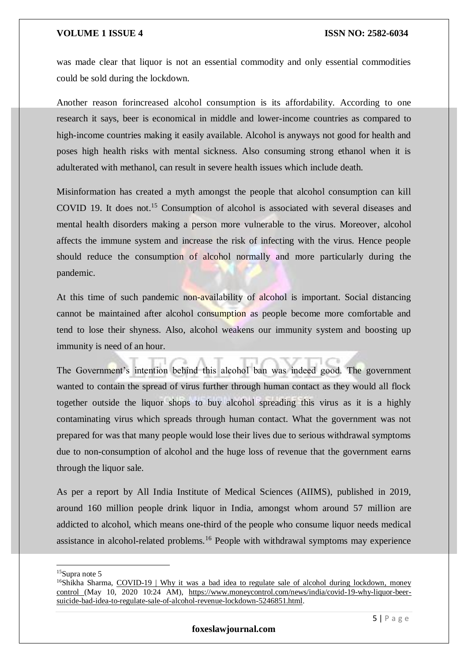was made clear that liquor is not an essential commodity and only essential commodities could be sold during the lockdown.

Another reason forincreased alcohol consumption is its affordability. According to one research it says, beer is economical in middle and lower-income countries as compared to high-income countries making it easily available. Alcohol is anyways not good for health and poses high health risks with mental sickness. Also consuming strong ethanol when it is adulterated with methanol, can result in severe health issues which include death.

Misinformation has created a myth amongst the people that alcohol consumption can kill COVID 19. It does not.<sup>15</sup> Consumption of alcohol is associated with several diseases and mental health disorders making a person more vulnerable to the virus. Moreover, alcohol affects the immune system and increase the risk of infecting with the virus. Hence people should reduce the consumption of alcohol normally and more particularly during the pandemic.

At this time of such pandemic non-availability of alcohol is important. Social distancing cannot be maintained after alcohol consumption as people become more comfortable and tend to lose their shyness. Also, alcohol weakens our immunity system and boosting up immunity is need of an hour.

The Government's intention behind this alcohol ban was indeed good. The government wanted to contain the spread of virus further through human contact as they would all flock together outside the liquor shops to buy alcohol spreading this virus as it is a highly contaminating virus which spreads through human contact. What the government was not prepared for was that many people would lose their lives due to serious withdrawal symptoms due to non-consumption of alcohol and the huge loss of revenue that the government earns through the liquor sale.

As per a report by All India Institute of Medical Sciences (AIIMS), published in 2019, around 160 million people drink liquor in India, amongst whom around 57 million are addicted to alcohol, which means one-third of the people who consume liquor needs medical assistance in alcohol-related problems.<sup>16</sup> People with withdrawal symptoms may experience

1

 $15$ Supra note 5

 $16$ Shikha Sharma, COVID-19 | Why it was a bad idea to regulate sale of alcohol during lockdown, money control (May 10, 2020 10:24 AM), [https://www.moneycontrol.com/news/india/covid-19-why-liquor-beer](https://www.moneycontrol.com/news/india/covid-19-why-liquor-beer-suicide-bad-idea-to-regulate-sale-of-alcohol-revenue-lockdown-5246851.html)[suicide-bad-idea-to-regulate-sale-of-alcohol-revenue-lockdown-5246851.html.](https://www.moneycontrol.com/news/india/covid-19-why-liquor-beer-suicide-bad-idea-to-regulate-sale-of-alcohol-revenue-lockdown-5246851.html)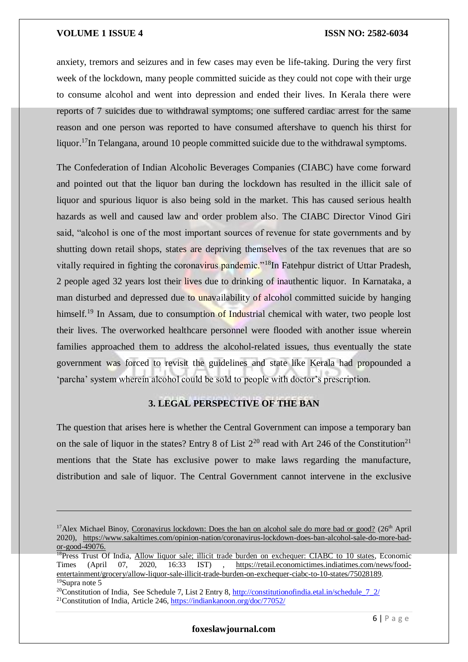anxiety, tremors and seizures and in few cases may even be life-taking. During the very first week of the lockdown, many people committed suicide as they could not cope with their urge to consume alcohol and went into depression and ended their lives. In Kerala there were reports of 7 suicides due to withdrawal symptoms; one suffered cardiac arrest for the same reason and one person was reported to have consumed aftershave to quench his thirst for liquor.<sup>17</sup>In Telangana, around 10 people committed suicide due to the withdrawal symptoms.

The Confederation of Indian Alcoholic Beverages Companies (CIABC) have come forward and pointed out that the liquor ban during the lockdown has resulted in the illicit sale of liquor and spurious liquor is also being sold in the market. This has caused serious health hazards as well and caused law and order problem also. The CIABC Director Vinod Giri said, "alcohol is one of the most important sources of revenue for state governments and by shutting down retail shops, states are depriving themselves of the tax revenues that are so vitally required in fighting the coronavirus pandemic."<sup>18</sup>In Fatehpur district of Uttar Pradesh, 2 people aged 32 years lost their lives due to drinking of inauthentic liquor. In Karnataka, a man disturbed and depressed due to unavailability of alcohol committed suicide by hanging himself.<sup>19</sup> In Assam, due to consumption of Industrial chemical with water, two people lost their lives. The overworked healthcare personnel were flooded with another issue wherein families approached them to address the alcohol-related issues, thus eventually the state government was forced to revisit the guidelines and state like Kerala had propounded a 'parcha' system wherein alcohol could be sold to people with doctor's prescription.

## **3. LEGAL PERSPECTIVE OF THE BAN**

The question that arises here is whether the Central Government can impose a temporary ban on the sale of liquor in the states? Entry 8 of List  $2^{20}$  read with Art 246 of the Constitution<sup>21</sup> mentions that the State has exclusive power to make laws regarding the manufacture, distribution and sale of liquor. The Central Government cannot intervene in the exclusive

<u>.</u>

<sup>&</sup>lt;sup>17</sup>Alex Michael Binoy, Coronavirus lockdown: Does the ban on alcohol sale do more bad or good? (26<sup>th</sup> April 2020), [https://www.sakaltimes.com/opinion-nation/coronavirus-lockdown-does-ban-alcohol-sale-do-more-bad](https://www.sakaltimes.com/opinion-nation/coronavirus-lockdown-does-ban-alcohol-sale-do-more-bad-or-good-49076)[or-good-49076.](https://www.sakaltimes.com/opinion-nation/coronavirus-lockdown-does-ban-alcohol-sale-do-more-bad-or-good-49076)

<sup>&</sup>lt;sup>18</sup>Press Trust Of India, Allow liquor sale; illicit trade burden on exchequer: CIABC to 10 states, Economic Times (April 07, 2020, 16:33 IST) , [https://retail.economictimes.indiatimes.com/news/food](https://retail.economictimes.indiatimes.com/news/food-entertainment/grocery/allow-liquor-sale-illicit-trade-burden-on-exchequer-ciabc-to-10-states/75028189)[entertainment/grocery/allow-liquor-sale-illicit-trade-burden-on-exchequer-ciabc-to-10-states/75028189.](https://retail.economictimes.indiatimes.com/news/food-entertainment/grocery/allow-liquor-sale-illicit-trade-burden-on-exchequer-ciabc-to-10-states/75028189)  $19$ Supra note 5

<sup>&</sup>lt;sup>20</sup>Constitution of India, See Schedule 7, List 2 Entry 8,  $\frac{http://constitutionofindia etal.in/schedule\_7_2/}{$ 

<sup>21</sup>Constitution of India, Article 246,<https://indiankanoon.org/doc/77052/>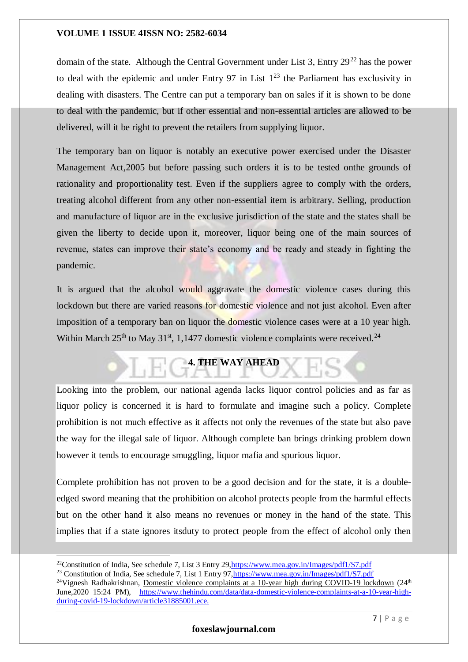domain of the state. Although the Central Government under List 3, Entry  $29^{22}$  has the power to deal with the epidemic and under Entry 97 in List  $1^{23}$  the Parliament has exclusivity in dealing with disasters. The Centre can put a temporary ban on sales if it is shown to be done to deal with the pandemic, but if other essential and non-essential articles are allowed to be delivered, will it be right to prevent the retailers from supplying liquor.

The temporary ban on liquor is notably an executive power exercised under the Disaster Management Act,2005 but before passing such orders it is to be tested onthe grounds of rationality and proportionality test. Even if the suppliers agree to comply with the orders, treating alcohol different from any other non-essential item is arbitrary. Selling, production and manufacture of liquor are in the exclusive jurisdiction of the state and the states shall be given the liberty to decide upon it, moreover, liquor being one of the main sources of revenue, states can improve their state's economy and be ready and steady in fighting the pandemic.

It is argued that the alcohol would aggravate the domestic violence cases during this lockdown but there are varied reasons for domestic violence and not just alcohol. Even after imposition of a temporary ban on liquor the domestic violence cases were at a 10 year high. Within March  $25<sup>th</sup>$  to May 31<sup>st</sup>, 1,1477 domestic violence complaints were received.<sup>24</sup>

# **4. THE WAY AHEAD**

Looking into the problem, our national agenda lacks liquor control policies and as far as liquor policy is concerned it is hard to formulate and imagine such a policy. Complete prohibition is not much effective as it affects not only the revenues of the state but also pave the way for the illegal sale of liquor. Although complete ban brings drinking problem down however it tends to encourage smuggling, liquor mafia and spurious liquor.

Complete prohibition has not proven to be a good decision and for the state, it is a doubleedged sword meaning that the prohibition on alcohol protects people from the harmful effects but on the other hand it also means no revenues or money in the hand of the state. This implies that if a state ignores itsduty to protect people from the effect of alcohol only then

-

<sup>22</sup>Constitution of India, See schedule 7, List 3 Entry 29[,https://www.mea.gov.in/Images/pdf1/S7.pdf](https://www.mea.gov.in/Images/pdf1/S7.pdf)

<sup>&</sup>lt;sup>23</sup> Constitution of India, See schedule 7, List 1 Entry 97, https://www.mea.gov.in/Images/pdf1/S7.pdf

<sup>&</sup>lt;sup>24</sup>Vignesh Radhakrishnan, Domestic violence complaints at a 10-year high during COVID-19 lockdown (24<sup>th</sup>) June,2020 15:24 PM), [https://www.thehindu.com/data/data-domestic-violence-complaints-at-a-10-year-high](https://www.thehindu.com/data/data-domestic-violence-complaints-at-a-10-year-high-during-covid-19-lockdown/article31885001.ece)[during-covid-19-lockdown/article31885001.ece.](https://www.thehindu.com/data/data-domestic-violence-complaints-at-a-10-year-high-during-covid-19-lockdown/article31885001.ece)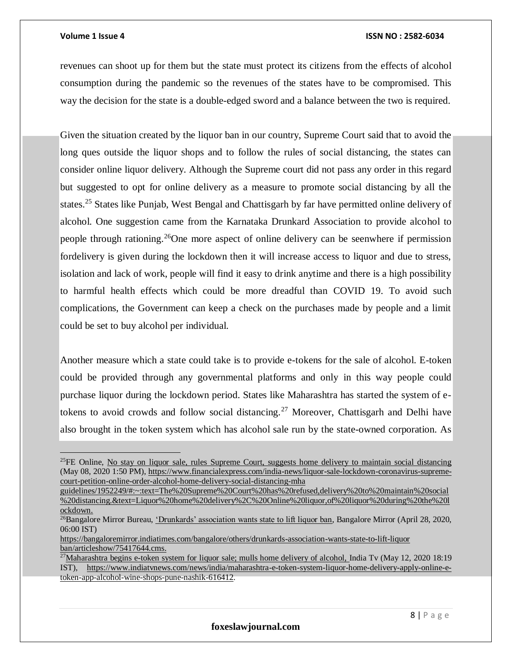### **Volume 1 Issue 4 ISSN NO : 2582-6034**

revenues can shoot up for them but the state must protect its citizens from the effects of alcohol consumption during the pandemic so the revenues of the states have to be compromised. This way the decision for the state is a double-edged sword and a balance between the two is required.

Given the situation created by the liquor ban in our country, Supreme Court said that to avoid the long ques outside the liquor shops and to follow the rules of social distancing, the states can consider online liquor delivery. Although the Supreme court did not pass any order in this regard but suggested to opt for online delivery as a measure to promote social distancing by all the states.<sup>25</sup> States like Punjab, West Bengal and Chattisgarh by far have permitted online delivery of alcohol. One suggestion came from the Karnataka Drunkard Association to provide alcohol to people through rationing.<sup>26</sup>One more aspect of online delivery can be seenwhere if permission fordelivery is given during the lockdown then it will increase access to liquor and due to stress, isolation and lack of work, people will find it easy to drink anytime and there is a high possibility to harmful health effects which could be more dreadful than COVID 19. To avoid such complications, the Government can keep a check on the purchases made by people and a limit could be set to buy alcohol per individual.

Another measure which a state could take is to provide e-tokens for the sale of alcohol. E-token could be provided through any governmental platforms and only in this way people could purchase liquor during the lockdown period. States like Maharashtra has started the system of etokens to avoid crowds and follow social distancing.<sup>27</sup> Moreover, Chattisgarh and Delhi have also brought in the token system which has alcohol sale run by the state-owned corporation. As

<sup>&</sup>lt;sup>25</sup>FE Online, No stay on liquor sale, rules Supreme Court, suggests home delivery to maintain social distancing (May 08, 2020 1:50 PM), [https://www.financialexpress.com/india-news/liquor-sale-lockdown-coronavirus-supreme](https://www.financialexpress.com/india-news/liquor-sale-lockdown-coronavirus-supreme-court-petition-online-order-alcohol-home-delivery-social-distancing-mha-guidelines/1952249/#:~:text=The%20Supreme%20Court%20has%20refused,delivery%20to%20maintain%20social%20distancing.&text=Liquor%20home%20delivery%2C%20Online%20liquor,of%20liquor%20during%20the%20lockdown.)[court-petition-online-order-alcohol-home-delivery-social-distancing-mha](https://www.financialexpress.com/india-news/liquor-sale-lockdown-coronavirus-supreme-court-petition-online-order-alcohol-home-delivery-social-distancing-mha-guidelines/1952249/#:~:text=The%20Supreme%20Court%20has%20refused,delivery%20to%20maintain%20social%20distancing.&text=Liquor%20home%20delivery%2C%20Online%20liquor,of%20liquor%20during%20the%20lockdown.) 

[guidelines/1952249/#:~:text=The%20Supreme%20Court%20has%20refused,delivery%20to%20maintain%20social](https://www.financialexpress.com/india-news/liquor-sale-lockdown-coronavirus-supreme-court-petition-online-order-alcohol-home-delivery-social-distancing-mha-guidelines/1952249/#:~:text=The%20Supreme%20Court%20has%20refused,delivery%20to%20maintain%20social%20distancing.&text=Liquor%20home%20delivery%2C%20Online%20liquor,of%20liquor%20during%20the%20lockdown.) [%20distancing.&text=Liquor%20home%20delivery%2C%20Online%20liquor,of%20liquor%20during%20the%20l](https://www.financialexpress.com/india-news/liquor-sale-lockdown-coronavirus-supreme-court-petition-online-order-alcohol-home-delivery-social-distancing-mha-guidelines/1952249/#:~:text=The%20Supreme%20Court%20has%20refused,delivery%20to%20maintain%20social%20distancing.&text=Liquor%20home%20delivery%2C%20Online%20liquor,of%20liquor%20during%20the%20lockdown.) [ockdown.](https://www.financialexpress.com/india-news/liquor-sale-lockdown-coronavirus-supreme-court-petition-online-order-alcohol-home-delivery-social-distancing-mha-guidelines/1952249/#:~:text=The%20Supreme%20Court%20has%20refused,delivery%20to%20maintain%20social%20distancing.&text=Liquor%20home%20delivery%2C%20Online%20liquor,of%20liquor%20during%20the%20lockdown.)

<sup>&</sup>lt;sup>26</sup>Bangalore Mirror Bureau, 'Drunkards' association wants state to lift liquor ban, Bangalore Mirror (April 28, 2020, 06:00 IST)

[https://bangaloremirror.indiatimes.com/bangalore/others/drunkards-association-wants-state-to-lift-liquor](https://bangaloremirror.indiatimes.com/bangalore/others/drunkards-association-wants-state-to-lift-liquor-ban/articleshow/75417644.cms)  [ban/articleshow/75417644.cms.](https://bangaloremirror.indiatimes.com/bangalore/others/drunkards-association-wants-state-to-lift-liquor-ban/articleshow/75417644.cms)

<sup>&</sup>lt;sup>27</sup>Maharashtra begins e-token system for liquor sale; mulls home delivery of alcohol, India Tv (May 12, 2020 18:19 IST), [https://www.indiatvnews.com/news/india/maharashtra-e-token-system-liquor-home-delivery-apply-online-e](https://www.indiatvnews.com/news/india/maharashtra-e-token-system-liquor-home-delivery-apply-online-e-token-app-alcohol-wine-shops-pune-nashik-616412)[token-app-alcohol-wine-shops-pune-nashik-616412.](https://www.indiatvnews.com/news/india/maharashtra-e-token-system-liquor-home-delivery-apply-online-e-token-app-alcohol-wine-shops-pune-nashik-616412)